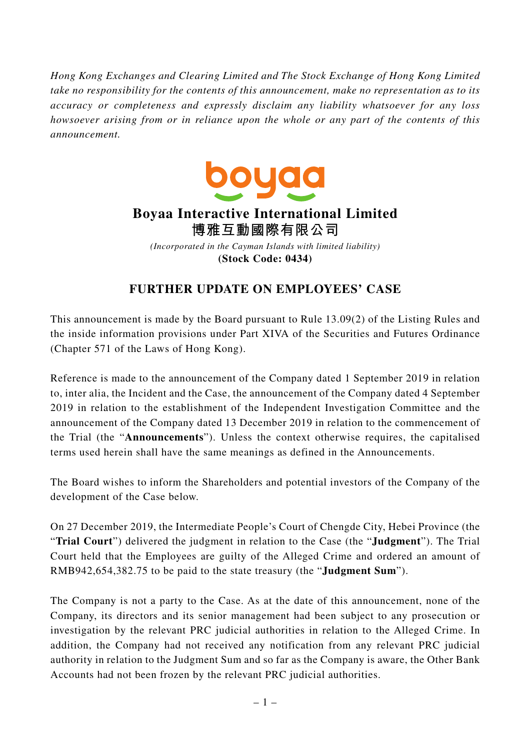*Hong Kong Exchanges and Clearing Limited and The Stock Exchange of Hong Kong Limited take no responsibility for the contents of this announcement, make no representation as to its accuracy or completeness and expressly disclaim any liability whatsoever for any loss howsoever arising from or in reliance upon the whole or any part of the contents of this announcement.*



## **Boyaa Interactive International Limited 博雅互動國際有限公司**

*(Incorporated in the Cayman Islands with limited liability)* **(Stock Code: 0434)**

## **FURTHER UPDATE ON EMPLOYEES' CASE**

This announcement is made by the Board pursuant to Rule 13.09(2) of the Listing Rules and the inside information provisions under Part XIVA of the Securities and Futures Ordinance (Chapter 571 of the Laws of Hong Kong).

Reference is made to the announcement of the Company dated 1 September 2019 in relation to, inter alia, the Incident and the Case, the announcement of the Company dated 4 September 2019 in relation to the establishment of the Independent Investigation Committee and the announcement of the Company dated 13 December 2019 in relation to the commencement of the Trial (the "**Announcements**"). Unless the context otherwise requires, the capitalised terms used herein shall have the same meanings as defined in the Announcements.

The Board wishes to inform the Shareholders and potential investors of the Company of the development of the Case below.

On 27 December 2019, the Intermediate People's Court of Chengde City, Hebei Province (the "**Trial Court**") delivered the judgment in relation to the Case (the "**Judgment**"). The Trial Court held that the Employees are guilty of the Alleged Crime and ordered an amount of RMB942,654,382.75 to be paid to the state treasury (the "**Judgment Sum**").

The Company is not a party to the Case. As at the date of this announcement, none of the Company, its directors and its senior management had been subject to any prosecution or investigation by the relevant PRC judicial authorities in relation to the Alleged Crime. In addition, the Company had not received any notification from any relevant PRC judicial authority in relation to the Judgment Sum and so far as the Company is aware, the Other Bank Accounts had not been frozen by the relevant PRC judicial authorities.